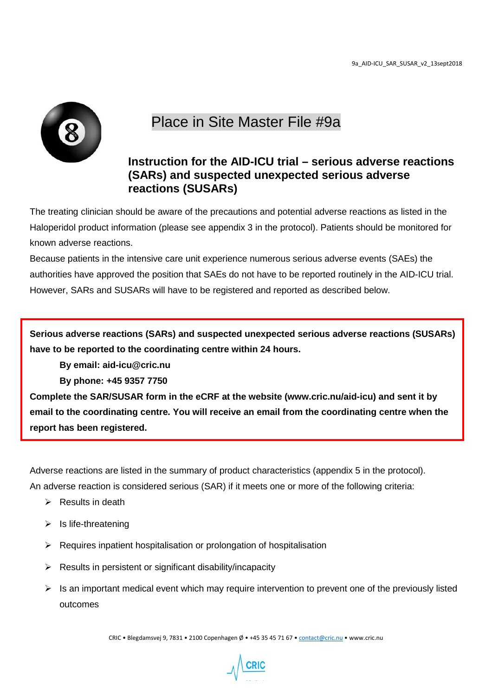

## Place in Site Master File #9a

## **Instruction for the AID-ICU trial – serious adverse reactions (SARs) and suspected unexpected serious adverse reactions (SUSARs)**

The treating clinician should be aware of the precautions and potential adverse reactions as listed in the Haloperidol product information (please see appendix 3 in the protocol). Patients should be monitored for known adverse reactions.

Because patients in the intensive care unit experience numerous serious adverse events (SAEs) the authorities have approved the position that SAEs do not have to be reported routinely in the AID-ICU trial. However, SARs and SUSARs will have to be registered and reported as described below.

**Serious adverse reactions (SARs) and suspected unexpected serious adverse reactions (SUSARs) have to be reported to the coordinating centre within 24 hours.** 

**By email: aid-icu@cric.nu** 

**By phone: +45 9357 7750**

**Complete the SAR/SUSAR form in the eCRF at the website (www.cric.nu/aid-icu) and sent it by email to the coordinating centre. You will receive an email from the coordinating centre when the report has been registered.**

Adverse reactions are listed in the summary of product characteristics (appendix 5 in the protocol). An adverse reaction is considered serious (SAR) if it meets one or more of the following criteria:

- $\triangleright$  Results in death
- $\triangleright$  Is life-threatening
- $\triangleright$  Requires inpatient hospitalisation or prolongation of hospitalisation
- $\triangleright$  Results in persistent or significant disability/incapacity
- $\triangleright$  Is an important medical event which may require intervention to prevent one of the previously listed outcomes